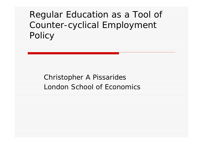# Regular Education as a Tool of Counter-cyclical Employment Policy

#### Christopher A Pissarides London School of Economics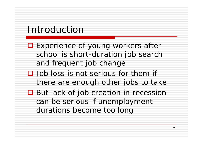### Introduction

- **□ Experience of young workers after** school is short-duration job search and frequent job change
- $\square$  Job loss is not serious for them if there are enough other jobs to take
- **□** But lack of job creation in recession can be serious if unemployment durations become too long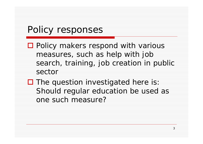## Policy responses

- □ Policy makers respond with various measures, such as help with job search, training, job creation in public sector
- $\square$  The question investigated here is: Should regular education be used as one such measure?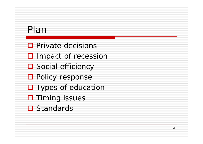# Plan

- $\square$  Private decisions
- □ Impact of recession
- **□** Social efficiency
- **□ Policy response**
- □ Types of education
- **□** Timing issues
- **□** Standards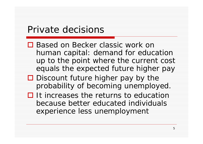### Private decisions

- □ Based on Becker classic work on human capital: demand for education up to the point where the current cost equals the expected future higher pay
- $\square$  Discount future higher pay by the probability of becoming unemployed.
- $\Box$  It increases the returns to education because better educated individuals experience less unemployment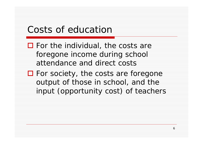## Costs of education

 $\Box$  For the individual, the costs are foregone income during school attendance and direct costs

□ For society, the costs are foregone output of those in school, and the input (opportunity cost) of teachers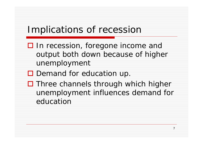## Implications of recession

- □ In recession, foregone income and output both down because of higher unemployment
- **D** Demand for education up.
- $\square$  Three channels through which higher unemployment influences demand for education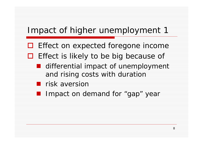#### Impact of higher unemployment 1

- □ Effect on expected foregone income
- $\Box$  Effect is likely to be big because of
	- **I** differential impact of unemployment and rising costs with duration
	- **R** risk aversion
	- **I** Impact on demand for "gap" year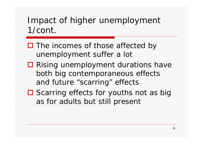### Impact of higher unemployment 1/cont.

- □ The incomes of those affected by unemployment suffer a lot
- **□ Rising unemployment durations have** both big contemporaneous effects and future "scarring" effects
- **□** Scarring effects for youths not as big as for adults but still present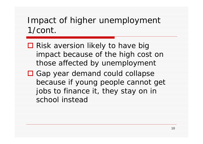## Impact of higher unemployment 1/cont.

- **□** Risk aversion likely to have big impact because of the high cost on those affected by unemployment
- □ Gap year demand could collapse because if young people cannot get jobs to finance it, they stay on in school instead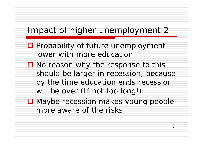#### Impact of higher unemployment 2

- $\square$  Probability of future unemployment lower with more education
- $\square$  No reason why the response to this should be larger in recession, because by the time education ends recession will be over (If not too long!)
- **□** Maybe recession makes young people more aware of the risks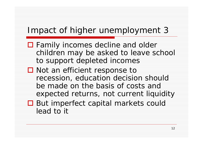#### Impact of higher unemployment 3

- **□** Family incomes decline and older children may be asked to leave school to support depleted incomes
- **□** Not an efficient response to recession, education decision should be made on the basis of costs and expected returns, not current liquidity
- **□** But imperfect capital markets could lead to it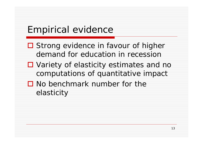# Empirical evidence

- **□** Strong evidence in favour of higher demand for education in recession
- Variety of elasticity estimates and no computations of quantitative impact
- $\square$  No benchmark number for the elasticity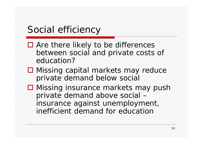# Social efficiency

- Are there likely to be differences between social and private costs of education?
- **□ Missing capital markets may reduce** private demand below social
- **□ Missing insurance markets may push** private demand above social – insurance against unemployment, inefficient demand for education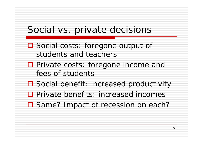### Social vs. private decisions

- □ Social costs: foregone output of students and teachers
- □ Private costs: foregone income and fees of students
- Social benefit: increased productivity
- □ Private benefits: increased incomes
- □ Same? Impact of recession on each?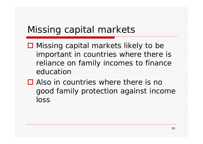# Missing capital markets

- **□** Missing capital markets likely to be important in countries where there is reliance on family incomes to finance education
- □ Also in countries where there is no good family protection against income loss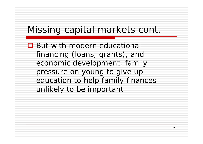# Missing capital markets cont.

**□** But with modern educational financing (loans, grants), and economic development, family pressure on young to give up education to help family finances unlikely to be important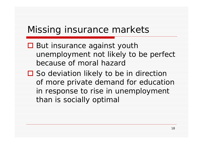## Missing insurance markets

- **□** But insurance against youth unemployment not likely to be perfect because of moral hazard
- □ So deviation likely to be in direction of more private demand for education in response to rise in unemployment than is socially optimal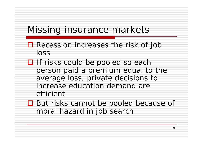# Missing insurance markets

- Recession increases the risk of job loss
- $\Box$  If risks could be pooled so each person paid a premium equal to the average loss, private decisions to increase education demand are efficient
- **□** But risks cannot be pooled because of moral hazard in job search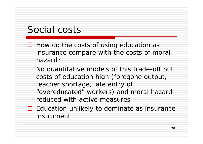# Social costs

- $\Box$  How do the costs of using education as insurance compare with the costs of moral hazard?
- $\Box$  No quantitative models of this trade-off but costs of education high (foregone output, teacher shortage, late entry of "overeducated" workers) and moral hazard reduced with active measures
- **□** Education unlikely to dominate as insurance instrument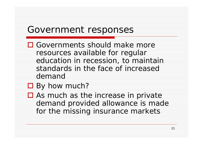#### Government responses

- □ Governments should make more resources available for regular education in recession, to maintain standards in the face of increased demand
- By how much?
- $\square$  As much as the increase in private demand provided allowance is made for the missing insurance markets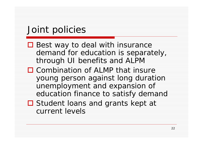# Joint policies

- **□ Best way to deal with insurance** demand for education is separately, through UI benefits and ALPM
- $\square$  Combination of ALMP that insure young person against long duration unemployment and expansion of education finance to satisfy demand
- **□** Student loans and grants kept at current levels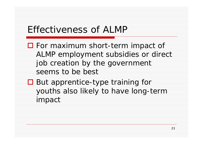## Effectiveness of ALMP

- For maximum short-term impact of ALMP employment subsidies or direct job creation by the government seems to be best
- But apprentice-type training for youths also likely to have long-term impact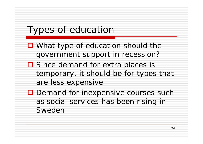# Types of education

- What type of education should the government support in recession?
- **□** Since demand for extra places is temporary, it should be for types that are less expensive
- □ Demand for inexpensive courses such as social services has been rising in Sweden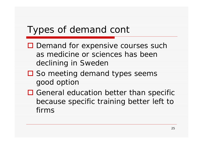# Types of demand cont

- □ Demand for expensive courses such as medicine or sciences has been declining in Sweden
- □ So meeting demand types seems good option
- $\square$  General education better than specific because specific training better left to firms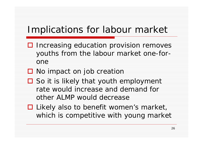## Implications for labour market

- $\Box$  Increasing education provision removes youths from the labour market one-forone
- **□** No impact on job creation
- $\square$  So it is likely that youth employment rate would increase and demand for other ALMP would decrease
- Likely also to benefit women's market, which is competitive with young market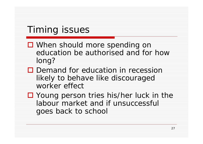# Timing issues

- When should more spending on education be authorised and for how long?
- $\square$  Demand for education in recession likely to behave like discouraged worker effect
- Young person tries his/her luck in the labour market and if unsuccessful goes back to school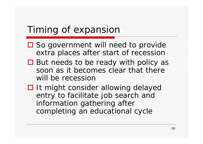## Timing of expansion

- **□** So government will need to provide extra places after start of recession
- **□** But needs to be ready with policy as soon as it becomes clear that there will be recession
- **□ It might consider allowing delayed** entry to facilitate job search and information gathering after completing an educational cycle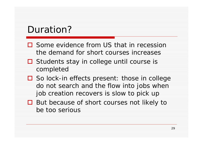# Duration?

- **□** Some evidence from US that in recession the demand for short courses increases
- **□** Students stay in college until course is completed
- **□** So lock-in effects present: those in college do not search and the flow into jobs when job creation recovers is slow to pick up
- **□** But because of short courses not likely to be too serious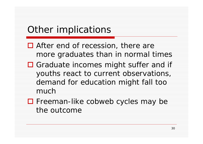# Other implications

- After end of recession, there are more graduates than in normal times
- □ Graduate incomes might suffer and if youths react to current observations, demand for education might fall too much
- Freeman-like cobweb cycles may be the outcome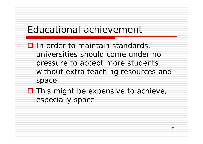## Educational achievement

 $\square$  In order to maintain standards, universities should come under no pressure to accept more students without extra teaching resources and space

 $\square$  This might be expensive to achieve, especially space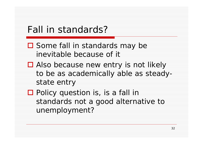## Fall in standards?

- **□** Some fall in standards may be inevitable because of it
- Also because new entry is not likely to be as academically able as steadystate entry
- □ Policy question is, is a fall in standards not a good alternative to unemployment?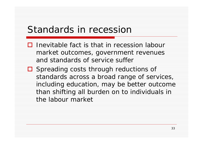#### Standards in recession

- $\Box$  Inevitable fact is that in recession labour market outcomes, government revenues and standards of service suffer
- □ Spreading costs through reductions of standards across a broad range of services, including education, may be better outcome than shifting all burden on to individuals in the labour market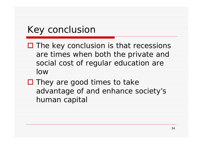# Key conclusion

- $\square$  The key conclusion is that recessions are times when both the private and social cost of regular education are low
- $\square$  They are good times to take advantage of and enhance society's human capital